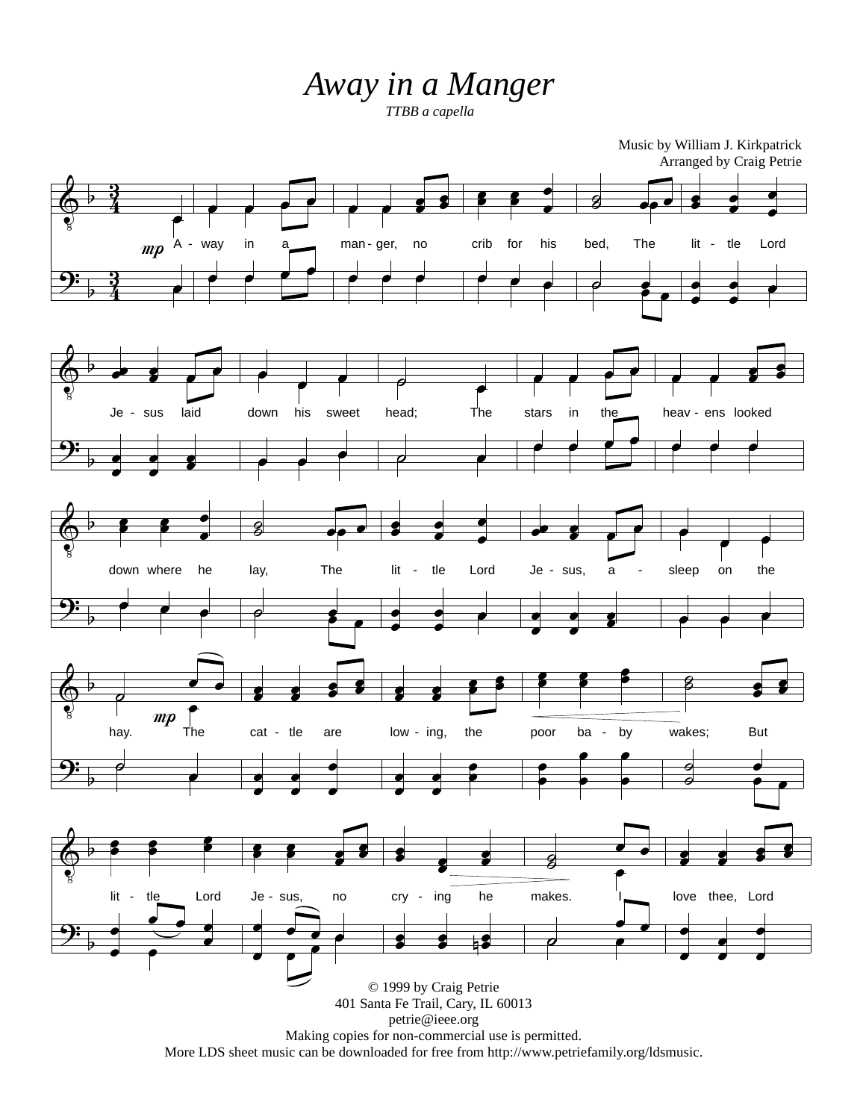## *Away in a Manger*

*TTBB a capella*